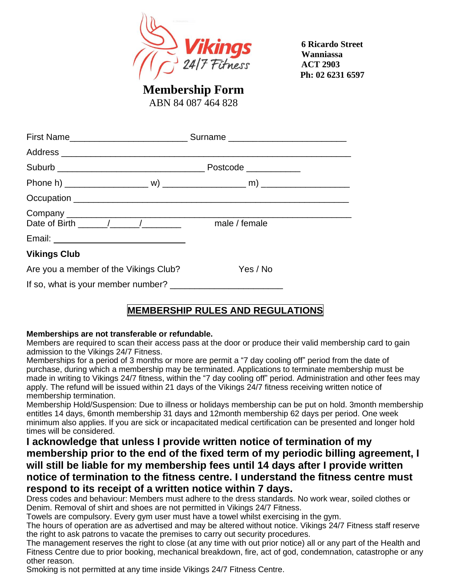

 **6 Ricardo Street Wanniassa ACT 2903 Ph: 02 6231 6597** 

**Membership Form**

ABN 84 087 464 828

| Date of Birth / / / male / female     |                                   |  |  |
|---------------------------------------|-----------------------------------|--|--|
|                                       |                                   |  |  |
| <b>Vikings Club</b>                   |                                   |  |  |
| Are you a member of the Vikings Club? | <b>Example Structure Yes / No</b> |  |  |
|                                       |                                   |  |  |

## **MEMBERSHIP RULES AND REGULATIONS**

#### **Memberships are not transferable or refundable.**

Members are required to scan their access pass at the door or produce their valid membership card to gain admission to the Vikings 24/7 Fitness.

Memberships for a period of 3 months or more are permit a "7 day cooling off" period from the date of purchase, during which a membership may be terminated. Applications to terminate membership must be made in writing to Vikings 24/7 fitness, within the "7 day cooling off" period. Administration and other fees may apply. The refund will be issued within 21 days of the Vikings 24/7 fitness receiving written notice of membership termination.

Membership Hold/Suspension: Due to illness or holidays membership can be put on hold. 3month membership entitles 14 days, 6month membership 31 days and 12month membership 62 days per period. One week minimum also applies. If you are sick or incapacitated medical certification can be presented and longer hold times will be considered.

### **I acknowledge that unless I provide written notice of termination of my membership prior to the end of the fixed term of my periodic billing agreement, I will still be liable for my membership fees until 14 days after I provide written notice of termination to the fitness centre. I understand the fitness centre must respond to its receipt of a written notice within 7 days.**

Dress codes and behaviour: Members must adhere to the dress standards. No work wear, soiled clothes or Denim. Removal of shirt and shoes are not permitted in Vikings 24/7 Fitness.

Towels are compulsory. Every gym user must have a towel whilst exercising in the gym.

The hours of operation are as advertised and may be altered without notice. Vikings 24/7 Fitness staff reserve the right to ask patrons to vacate the premises to carry out security procedures.

The management reserves the right to close (at any time with out prior notice) all or any part of the Health and Fitness Centre due to prior booking, mechanical breakdown, fire, act of god, condemnation, catastrophe or any other reason.

Smoking is not permitted at any time inside Vikings 24/7 Fitness Centre.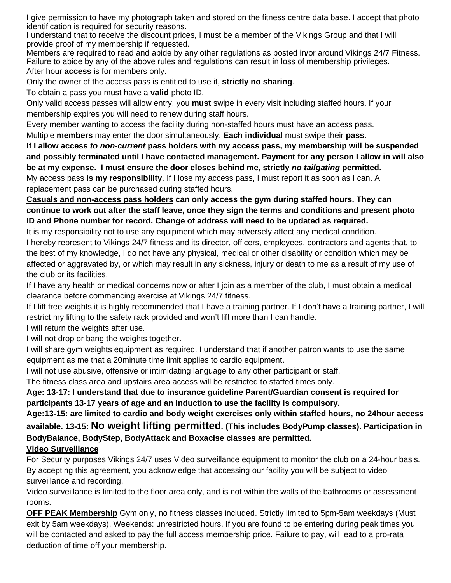I give permission to have my photograph taken and stored on the fitness centre data base. I accept that photo identification is required for security reasons.

I understand that to receive the discount prices, I must be a member of the Vikings Group and that I will provide proof of my membership if requested.

Members are required to read and abide by any other regulations as posted in/or around Vikings 24/7 Fitness. Failure to abide by any of the above rules and regulations can result in loss of membership privileges. After hour **access** is for members only.

Only the owner of the access pass is entitled to use it, **strictly no sharing**.

To obtain a pass you must have a **valid** photo ID.

Only valid access passes will allow entry, you **must** swipe in every visit including staffed hours. If your membership expires you will need to renew during staff hours.

Every member wanting to access the facility during non-staffed hours must have an access pass.

Multiple **members** may enter the door simultaneously. **Each individual** must swipe their **pass**.

**If I allow access** *to non-current* **pass holders with my access pass, my membership will be suspended and possibly terminated until I have contacted management. Payment for any person I allow in will also be at my expense. I must ensure the door closes behind me, strictly** *no tailgating* **permitted.**

My access pass **is my responsibility**. If I lose my access pass, I must report it as soon as I can. A replacement pass can be purchased during staffed hours.

**Casuals and non-access pass holders can only access the gym during staffed hours. They can continue to work out after the staff leave, once they sign the terms and conditions and present photo ID and Phone number for record. Change of address will need to be updated as required.**

It is my responsibility not to use any equipment which may adversely affect any medical condition. I hereby represent to Vikings 24/7 fitness and its director, officers, employees, contractors and agents that, to the best of my knowledge, I do not have any physical, medical or other disability or condition which may be affected or aggravated by, or which may result in any sickness, injury or death to me as a result of my use of the club or its facilities.

If I have any health or medical concerns now or after I join as a member of the club, I must obtain a medical clearance before commencing exercise at Vikings 24/7 fitness.

If I lift free weights it is highly recommended that I have a training partner. If I don't have a training partner, I will restrict my lifting to the safety rack provided and won't lift more than I can handle.

I will return the weights after use.

I will not drop or bang the weights together.

I will share gym weights equipment as required. I understand that if another patron wants to use the same equipment as me that a 20minute time limit applies to cardio equipment.

I will not use abusive, offensive or intimidating language to any other participant or staff.

The fitness class area and upstairs area access will be restricted to staffed times only.

**Age: 13-17: I understand that due to insurance guideline Parent/Guardian consent is required for participants 13-17 years of age and an induction to use the facility is compulsory.**

**Age:13-15: are limited to cardio and body weight exercises only within staffed hours, no 24hour access available. 13-15: No weight lifting permitted. (This includes BodyPump classes). Participation in BodyBalance, BodyStep, BodyAttack and Boxacise classes are permitted.**

**Video Surveillance**

For Security purposes Vikings 24/7 uses Video surveillance equipment to monitor the club on a 24-hour basis. By accepting this agreement, you acknowledge that accessing our facility you will be subject to video surveillance and recording.

Video surveillance is limited to the floor area only, and is not within the walls of the bathrooms or assessment rooms.

**OFF PEAK Membership** Gym only, no fitness classes included. Strictly limited to 5pm-5am weekdays (Must exit by 5am weekdays). Weekends: unrestricted hours. If you are found to be entering during peak times you will be contacted and asked to pay the full access membership price. Failure to pay, will lead to a pro-rata deduction of time off your membership.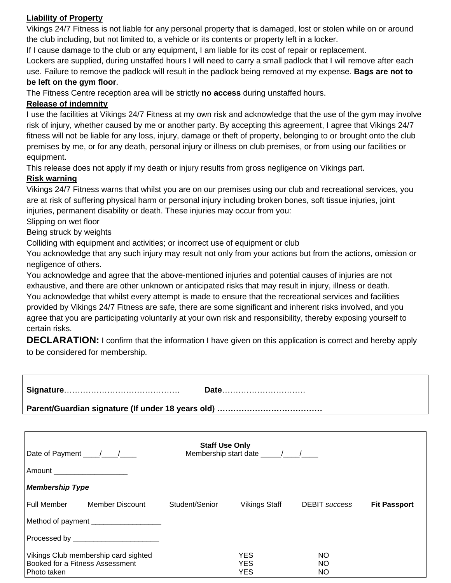#### **Liability of Property**

Vikings 24/7 Fitness is not liable for any personal property that is damaged, lost or stolen while on or around the club including, but not limited to, a vehicle or its contents or property left in a locker.

If I cause damage to the club or any equipment, I am liable for its cost of repair or replacement.

Lockers are supplied, during unstaffed hours I will need to carry a small padlock that I will remove after each use. Failure to remove the padlock will result in the padlock being removed at my expense. **Bags are not to** 

#### **be left on the gym floor**.

The Fitness Centre reception area will be strictly **no access** during unstaffed hours.

#### **Release of indemnity**

I use the facilities at Vikings 24/7 Fitness at my own risk and acknowledge that the use of the gym may involve risk of injury, whether caused by me or another party. By accepting this agreement, I agree that Vikings 24/7 fitness will not be liable for any loss, injury, damage or theft of property, belonging to or brought onto the club premises by me, or for any death, personal injury or illness on club premises, or from using our facilities or equipment.

This release does not apply if my death or injury results from gross negligence on Vikings part.

#### **Risk warning**

Vikings 24/7 Fitness warns that whilst you are on our premises using our club and recreational services, you are at risk of suffering physical harm or personal injury including broken bones, soft tissue injuries, joint injuries, permanent disability or death. These injuries may occur from you:

Slipping on wet floor

Being struck by weights

Colliding with equipment and activities; or incorrect use of equipment or club

You acknowledge that any such injury may result not only from your actions but from the actions, omission or negligence of others.

You acknowledge and agree that the above-mentioned injuries and potential causes of injuries are not exhaustive, and there are other unknown or anticipated risks that may result in injury, illness or death. You acknowledge that whilst every attempt is made to ensure that the recreational services and facilities provided by Vikings 24/7 Fitness are safe, there are some significant and inherent risks involved, and you agree that you are participating voluntarily at your own risk and responsibility, thereby exposing yourself to certain risks.

**DECLARATION:** I confirm that the information I have given on this application is correct and hereby apply to be considered for membership.

| Date                          |                                                                         |                       |                          |                  |                     |  |
|-------------------------------|-------------------------------------------------------------------------|-----------------------|--------------------------|------------------|---------------------|--|
|                               |                                                                         |                       |                          |                  |                     |  |
|                               |                                                                         |                       |                          |                  |                     |  |
|                               |                                                                         | <b>Staff Use Only</b> |                          |                  |                     |  |
| Amount ______________________ |                                                                         |                       |                          |                  |                     |  |
| <b>Membership Type</b>        |                                                                         |                       |                          |                  |                     |  |
|                               | Full Member Member Discount                                             | Student/Senior        | Vikings Staff            | DEBIT success    | <b>Fit Passport</b> |  |
|                               | Method of payment ____________________                                  |                       |                          |                  |                     |  |
|                               | Processed by __________________________                                 |                       |                          |                  |                     |  |
|                               | Vikings Club membership card sighted<br>Booked for a Fitness Assessment |                       | <b>YES</b><br><b>YES</b> | NO.<br><b>NO</b> |                     |  |

Photo taken YES NO